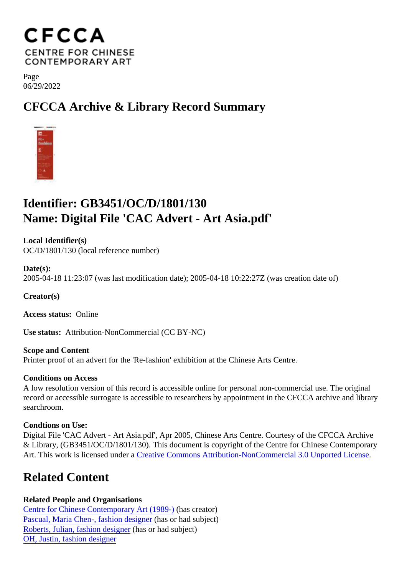Page 06/29/2022

## CFCCA Archive & Library Record Summary

## Identifier: GB3451/OC/D/1801/130 Name: Digital File 'CAC Advert - Art Asia.pdf'

Local Identifier(s) OC/D/1801/130 (local reference number)

Date(s): 2005-04-18 11:23:07 (was last modification date); 2005-04-18 10:22:27Z (was creation date of)

Creator(s)

Access status: Online

Use status: Attribution-NonCommercial (CC BY-NC)

Scope and Content Printer proof of an advert for the 'Re-fashion' exhibition at the Chinese Arts Centre.

Conditions on Access

A low resolution version of this record is accessible online for personal non-commercial use. The original record or accessible surrogate is accessible to researchers by appointment in the CFCCA archive and libr searchroom.

Condtions on Use:

Digital File 'CAC Advert - Art Asia.pdf', Apr 2005, Chinese Arts Centre. Courtesy of the CFCCA Archive & Library, (GB3451/OC/D/1801/130). This document is copyright of the Centre for Chinese Contemporary Art. This work is licensed under Creative Commons Attribution-NonCommercial 3.0 Unported License

## Related Content

Related People and Organisations [Centre for Chinese Contemporary Art \(198](/index.php/Detail/entities/2)9)as creator) [Pascual, Maria Chen-, fashion desig](/index.php/Detail/entities/215)nersor had subject) [Roberts, Julian, fashion desig](/index.php/Detail/entities/216)ners or had subject) [OH, Justin, fashion design](/index.php/Detail/entities/218)er